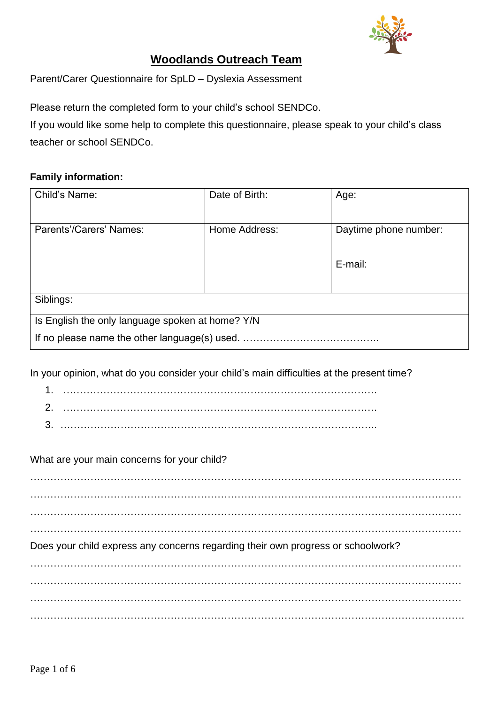

# **Woodlands Outreach Team**

Parent/Carer Questionnaire for SpLD – Dyslexia Assessment

Please return the completed form to your child's school SENDCo.

If you would like some help to complete this questionnaire, please [speak](mailto:julie.medhurst@medway.gov.uk) to your child's class teacher or school SENDCo.

## **Family information:**

| Child's Name:                                    | Date of Birth: | Age:                  |  |  |  |  |  |
|--------------------------------------------------|----------------|-----------------------|--|--|--|--|--|
|                                                  |                |                       |  |  |  |  |  |
| Parents'/Carers' Names:                          | Home Address:  | Daytime phone number: |  |  |  |  |  |
|                                                  |                |                       |  |  |  |  |  |
|                                                  |                | E-mail:               |  |  |  |  |  |
|                                                  |                |                       |  |  |  |  |  |
| Siblings:                                        |                |                       |  |  |  |  |  |
|                                                  |                |                       |  |  |  |  |  |
| Is English the only language spoken at home? Y/N |                |                       |  |  |  |  |  |
| If no please name the other language(s) used.    |                |                       |  |  |  |  |  |
|                                                  |                |                       |  |  |  |  |  |

In your opinion, what do you consider your child's main difficulties at the present time?

1. ………………………………………………………………………………….

2. ………………………………………………………………………………….

3. …………………………………………………………………………………..

What are your main concerns for your child?

…………………………………………………………………………………………………………………  $\mathcal{L}^{\text{max}}_{\text{max}}$ 

Does your child express any concerns regarding their own progress or schoolwork?

 $\mathcal{L}^{\text{max}}_{\text{max}}$ ………………………………………………………………………………………………………………… …………………………………………………………………………………………………………………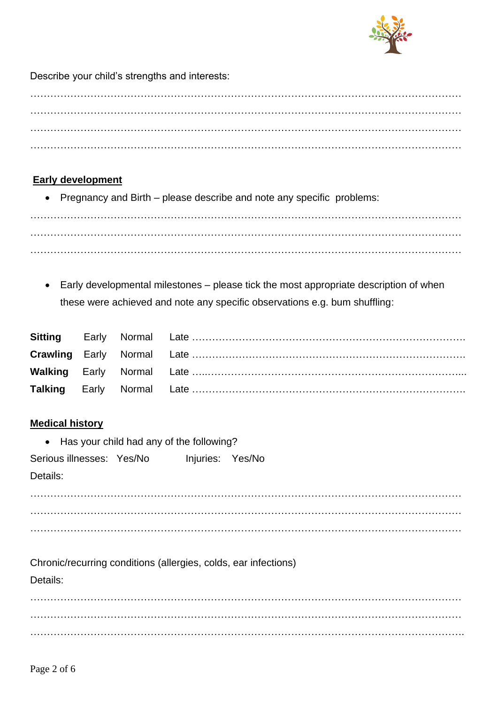

Describe your child's strengths and interests:

# **Early development**

• Pregnancy and Birth – please describe and note any specific problems:

………………………………………………………………………………………………………………… ………………………………………………………………………………………………………………… …………………………………………………………………………………………………………………

• Early developmental milestones – please tick the most appropriate description of when these were achieved and note any specific observations e.g. bum shuffling:

## **Medical history**

• Has your child had any of the following?

| Serious illnesses: Yes/No |  | Injuries: Yes/No |  |
|---------------------------|--|------------------|--|
|---------------------------|--|------------------|--|

Details:

………………………………………………………………………………………………………………… . The contract of the contract of the contract of the contract of the contract of the contract of the contract of the contract of the contract of the contract of the contract of the contract of the contract of the contrac …………………………………………………………………………………………………………………

Chronic/recurring conditions (allergies, colds, ear infections)

Details:

………………………………………………………………………………………………………………… . The contract of the contract of the contract of the contract of the contract of the contract of the contract of the contract of the contract of the contract of the contract of the contract of the contract of the contrac ………………………………………………………………………………………………………………….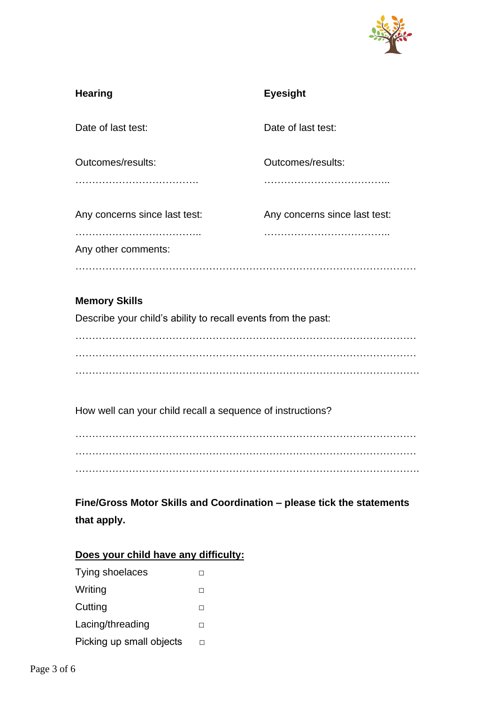

| <b>Hearing</b>                | <b>Eyesight</b>               |
|-------------------------------|-------------------------------|
| Date of last test:            | Date of last test:            |
| Outcomes/results:             | Outcomes/results:             |
| Any concerns since last test: | Any concerns since last test: |
| Any other comments:           |                               |
|                               |                               |

## **Memory Skills**

Describe your child's ability to recall events from the past:

 $\mathcal{L}^{\text{max}}$ ………………………………………………………………………………………… ………………………………………………………………………………………….

How well can your child recall a sequence of instructions?

………………………………………………………………………………………… ………………………………………………………………………………………… ………………………………………………………………………………………….

**Fine/Gross Motor Skills and Coordination – please tick the statements that apply.**

## **Does your child have any difficulty:**

| Tying shoelaces          |   |
|--------------------------|---|
| Writing                  | ш |
| Cutting                  | ш |
| Lacing/threading         | ш |
| Picking up small objects |   |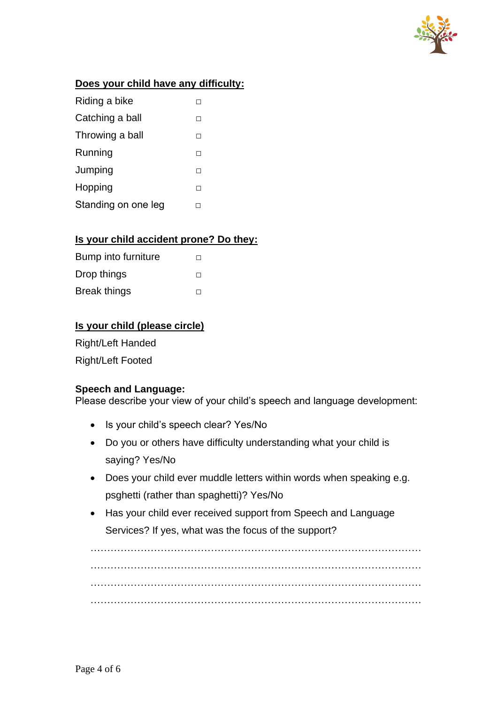

## **Does your child have any difficulty:**

| Riding a bike       |    |
|---------------------|----|
| Catching a ball     |    |
| Throwing a ball     | ΙI |
| Running             |    |
| Jumping             | ΙI |
| Hopping             |    |
| Standing on one leg |    |

## **Is your child accident prone? Do they:**

| Bump into furniture | $\mathsf{L}$ |
|---------------------|--------------|
| Drop things         | $\mathsf{L}$ |
| <b>Break things</b> |              |

## **Is your child (please circle)**

Right/Left Handed Right/Left Footed

#### **Speech and Language:**

Please describe your view of your child's speech and language development:

- Is your child's speech clear? Yes/No
- Do you or others have difficulty understanding what your child is saying? Yes/No
- Does your child ever muddle letters within words when speaking e.g. psghetti (rather than spaghetti)? Yes/No
- Has your child ever received support from Speech and Language Services? If yes, what was the focus of the support?

………………………………………………………………………………………  $\mathcal{L}^{\text{max}}_{\text{max}}$ ……………………………………………………………………………………… ………………………………………………………………………………………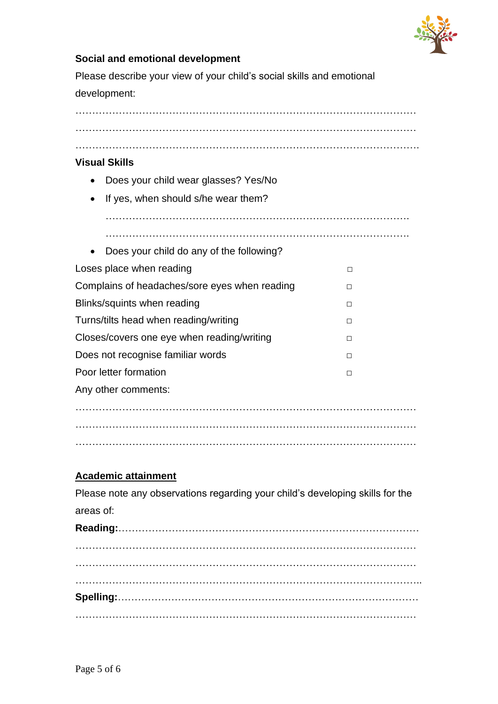

## **Social and emotional development**

Please describe your view of your child's social skills and emotional development:

………………………………………………………………………………………… …………………………………………………………………………………………

………………………………………………………………………………………….

#### **Visual Skills**

- Does your child wear glasses? Yes/No
- If yes, when should s/he wear them?

……………………………………………………………………………….

| Does your child do any of the following?      |   |
|-----------------------------------------------|---|
| Loses place when reading                      | П |
| Complains of headaches/sore eyes when reading | П |
| Blinks/squints when reading                   | П |
| Turns/tilts head when reading/writing         | П |
| Closes/covers one eye when reading/writing    |   |
| Does not recognise familiar words             | П |
| Poor letter formation                         | П |
| Any other comments:                           |   |
|                                               |   |
|                                               |   |
|                                               |   |

…………………………………………………………………………………………

## **Academic attainment**

Please note any observations regarding your child's developing skills for the areas of: